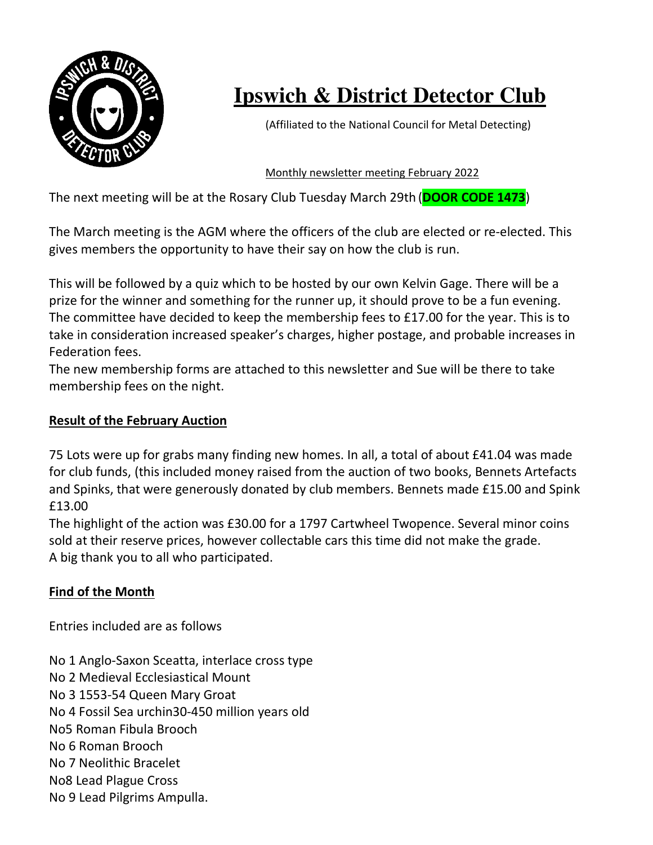

# **Ipswich & District Detector Club**

(Affiliated to the National Council for Metal Detecting)

Monthly newsletter meeting February 2022

The next meeting will be at the Rosary Club Tuesday March 29th (**DOOR CODE 1473**)

The March meeting is the AGM where the officers of the club are elected or re-elected. This gives members the opportunity to have their say on how the club is run.

This will be followed by a quiz which to be hosted by our own Kelvin Gage. There will be a prize for the winner and something for the runner up, it should prove to be a fun evening. The committee have decided to keep the membership fees to £17.00 for the year. This is to take in consideration increased speaker's charges, higher postage, and probable increases in Federation fees.

The new membership forms are attached to this newsletter and Sue will be there to take membership fees on the night.

### **Result of the February Auction**

75 Lots were up for grabs many finding new homes. In all, a total of about £41.04 was made for club funds, (this included money raised from the auction of two books, Bennets Artefacts and Spinks, that were generously donated by club members. Bennets made £15.00 and Spink £13.00

The highlight of the action was £30.00 for a 1797 Cartwheel Twopence. Several minor coins sold at their reserve prices, however collectable cars this time did not make the grade. A big thank you to all who participated.

#### **Find of the Month**

Entries included are as follows

No 1 Anglo-Saxon Sceatta, interlace cross type No 2 Medieval Ecclesiastical Mount No 3 1553-54 Queen Mary Groat No 4 Fossil Sea urchin30-450 million years old No5 Roman Fibula Brooch No 6 Roman Brooch No 7 Neolithic Bracelet No8 Lead Plague Cross No 9 Lead Pilgrims Ampulla.